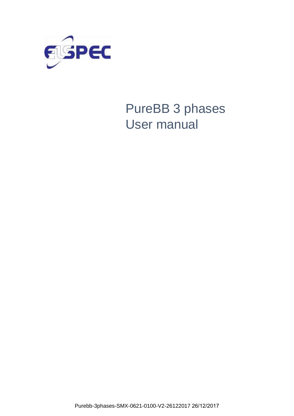

# PureBB 3 phases User manual

Purebb-3phases-SMX-0621-0100-V2-26122017 26/12/2017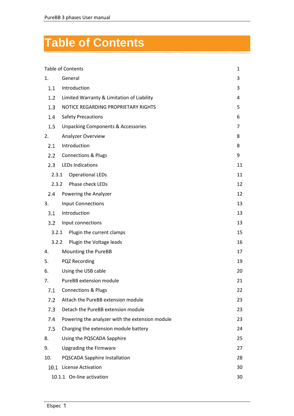# <span id="page-1-0"></span>**Table of Contents**

|         | <b>Table of Contents</b>                        | $\mathbf{1}$ |
|---------|-------------------------------------------------|--------------|
| 1.      | General                                         | 3            |
| 1.1     | Introduction                                    | 3            |
| 1.2     | Limited Warranty & Limitation of Liability      | 4            |
| 1.3     | NOTICE REGARDING PROPRIETARY RIGHTS             | 5            |
| 1.4     | <b>Safety Precautions</b>                       | 6            |
| $1.5\,$ | <b>Unpacking Components &amp; Accessories</b>   | 7            |
| 2.      | Analyzer Overview                               | 8            |
| 2.1     | Introduction                                    | 8            |
| 2.2     | <b>Connections &amp; Plugs</b>                  | 9            |
| 2.3     | <b>LEDs Indications</b>                         | 11           |
| 2.3.1   | <b>Operational LEDs</b>                         | 11           |
| 2.3.2   | Phase check LEDs                                | 12           |
| 2.4     | Powering the Analyzer                           | 12           |
| 3.      | <b>Input Connections</b>                        | 13           |
| 3.1     | Introduction                                    | 13           |
| 3.2     | Input connections                               | 13           |
| 3.2.1   | Plugin the current clamps                       | 15           |
| 3.2.2   | Plugin the Voltage leads                        | 16           |
| 4.      | Mounting the PureBB                             | 17           |
| 5.      | PQZ Recording                                   | 19           |
| 6.      | Using the USB cable                             | 20           |
| 7.      | PureBB extension module                         | 21           |
| 7.1     | <b>Connections &amp; Plugs</b>                  | 22           |
| 7.2     | Attach the PureBB extension module              | 23           |
| 7.3     | Detach the PureBB extension module              | 23           |
| 7.4     | Powering the analyzer with the extension module | 23           |
| 7.5     | Charging the extension module battery           | 24           |
| 8.      | Using the PQSCADA Sapphire                      | 25           |
| 9.      | <b>Upgrading the Firmware</b>                   | 27           |
| 10.     | PQSCADA Sapphire Installation                   | 28           |
| 10.1    | <b>License Activation</b>                       | 30           |
|         | 10.1.1 On-line activation                       | 30           |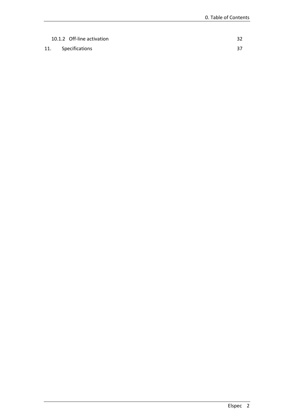| 10.1.2 Off-line activation |  |
|----------------------------|--|
| 11. Specifications         |  |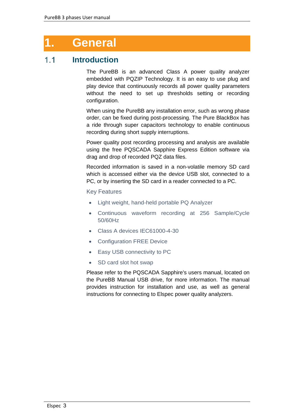## <span id="page-3-0"></span>**1. General**

#### <span id="page-3-1"></span> $1.1$ **Introduction**

The PureBB is an advanced Class A power quality analyzer embedded with PQZIP Technology. It is an easy to use plug and play device that continuously records all power quality parameters without the need to set up thresholds setting or recording configuration.

When using the PureBB any installation error, such as wrong phase order, can be fixed during post-processing. The Pure BlackBox has a ride through super capacitors technology to enable continuous recording during short supply interruptions.

Power quality post recording processing and analysis are available using the free PQSCADA Sapphire Express Edition software via drag and drop of recorded PQZ data files.

Recorded information is saved in a non-volatile memory SD card which is accessed either via the device USB slot, connected to a PC, or by inserting the SD card in a reader connected to a PC.

## Key Features

- Light weight, hand-held portable PQ Analyzer
- Continuous waveform recording at 256 Sample/Cycle 50/60Hz
- Class A devices IEC61000-4-30
- Configuration FREE Device
- Easy USB connectivity to PC
- SD card slot hot swap

Please refer to the PQSCADA Sapphire's users manual, located on the PureBB Manual USB drive, for more information. The manual provides instruction for installation and use, as well as general instructions for connecting to Elspec power quality analyzers.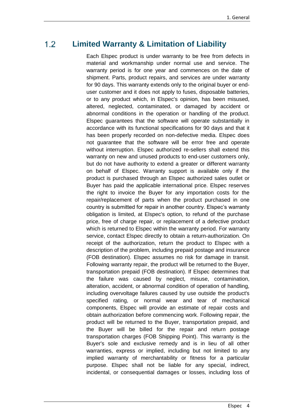#### <span id="page-4-0"></span> $1.2$ **Limited Warranty & Limitation of Liability**

Each Elspec product is under warranty to be free from defects in material and workmanship under normal use and service. The warranty period is for one year and commences on the date of shipment. Parts, product repairs, and services are under warranty for 90 days. This warranty extends only to the original buyer or enduser customer and it does not apply to fuses, disposable batteries, or to any product which, in Elspec's opinion, has been misused, altered, neglected, contaminated, or damaged by accident or abnormal conditions in the operation or handling of the product. Elspec guarantees that the software will operate substantially in accordance with its functional specifications for 90 days and that it has been properly recorded on non-defective media. Elspec does not guarantee that the software will be error free and operate without interruption. Elspec authorized re-sellers shall extend this warranty on new and unused products to end-user customers only, but do not have authority to extend a greater or different warranty on behalf of Elspec. Warranty support is available only if the product is purchased through an Elspec authorized sales outlet or Buyer has paid the applicable international price. Elspec reserves the right to invoice the Buyer for any importation costs for the repair/replacement of parts when the product purchased in one country is submitted for repair in another country. Elspec's warranty obligation is limited, at Elspec's option, to refund of the purchase price, free of charge repair, or replacement of a defective product which is returned to Elspec within the warranty period. For warranty service, contact Elspec directly to obtain a return-authorization. On receipt of the authorization, return the product to Elspec with a description of the problem, including prepaid postage and insurance (FOB destination). Elspec assumes no risk for damage in transit. Following warranty repair, the product will be returned to the Buyer, transportation prepaid (FOB destination). If Elspec determines that the failure was caused by neglect, misuse, contamination, alteration, accident, or abnormal condition of operation of handling, including overvoltage failures caused by use outside the product's specified rating, or normal wear and tear of mechanical components, Elspec will provide an estimate of repair costs and obtain authorization before commencing work. Following repair, the product will be returned to the Buyer, transportation prepaid, and the Buyer will be billed for the repair and return postage transportation charges (FOB Shipping Point). This warranty is the Buyer's sole and exclusive remedy and is in lieu of all other warranties, express or implied, including but not limited to any implied warranty of merchantability or fitness for a particular purpose. Elspec shall not be liable for any special, indirect, incidental, or consequential damages or losses, including loss of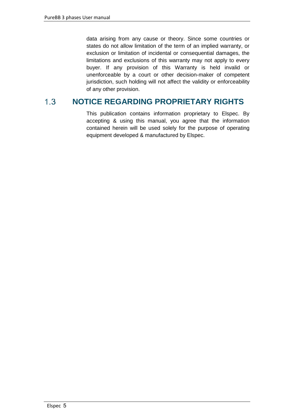data arising from any cause or theory. Since some countries or states do not allow limitation of the term of an implied warranty, or exclusion or limitation of incidental or consequential damages, the limitations and exclusions of this warranty may not apply to every buyer. If any provision of this Warranty is held invalid or unenforceable by a court or other decision-maker of competent jurisdiction, such holding will not affect the validity or enforceability of any other provision.

#### <span id="page-5-0"></span> $1.3$ **NOTICE REGARDING PROPRIETARY RIGHTS**

This publication contains information proprietary to Elspec. By accepting & using this manual, you agree that the information contained herein will be used solely for the purpose of operating equipment developed & manufactured by Elspec.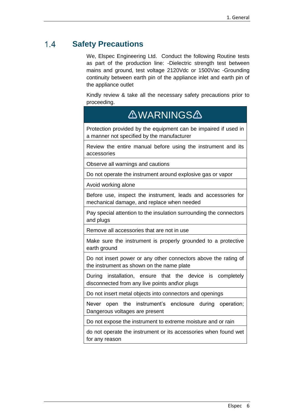#### <span id="page-6-0"></span> $14$ **Safety Precautions**

We, Elspec Engineering Ltd. Conduct the following Routine tests as part of the production line: -Dielectric strength test between mains and ground, test voltage 2120Vdc or 1500Vac -Grounding continuity between earth pin of the appliance inlet and earth pin of the appliance outlet

Kindly review & take all the necessary safety precautions prior to proceeding.

## **AWARNINGSA**

Protection provided by the equipment can be impaired if used in a manner not specified by the manufacturer

Review the entire manual before using the instrument and its accessories

Observe all warnings and cautions

Do not operate the instrument around explosive gas or vapor

Avoid working alone

Before use, inspect the instrument, leads and accessories for mechanical damage, and replace when needed

Pay special attention to the insulation surrounding the connectors and plugs

Remove all accessories that are not in use

Make sure the instrument is properly grounded to a protective earth ground

Do not insert power or any other connectors above the rating of the instrument as shown on the name plate

During installation, ensure that the device is completely disconnected from any live points and\or plugs

Do not insert metal objects into connectors and openings

Never open the instrument's enclosure during operation; Dangerous voltages are present

Do not expose the instrument to extreme moisture and or rain

do not operate the instrument or its accessories when found wet for any reason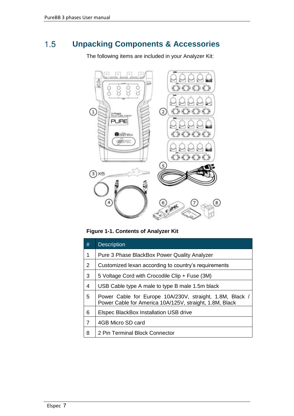#### <span id="page-7-0"></span> $1.5$ **Unpacking Components & Accessories**

The following items are included in your Analyzer Kit:



**Figure 1-1. Contents of Analyzer Kit**

| #              | <b>Description</b>                                                                                                  |
|----------------|---------------------------------------------------------------------------------------------------------------------|
| 1              | Pure 3 Phase BlackBox Power Quality Analyzer                                                                        |
| 2              | Customized lexan according to country's requirements                                                                |
| 3              | 5 Voltage Cord with Crocodile Clip + Fuse (3M)                                                                      |
| 4              | USB Cable type A male to type B male 1.5m black                                                                     |
| 5              | Power Cable for Europe 10A/230V, straight, 1.8M, Black /<br>Power Cable for America 10A/125V, straight, 1.8M, Black |
| 6              | <b>Elspec BlackBox Installation USB drive</b>                                                                       |
| $\overline{7}$ | 4GB Micro SD card                                                                                                   |
| 8              | 2 Pin Terminal Block Connector                                                                                      |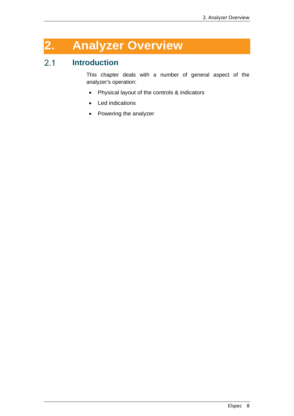# <span id="page-8-0"></span>**2. Analyzer Overview**

#### <span id="page-8-1"></span> $2.1$ **Introduction**

This chapter deals with a number of general aspect of the analyzer's operation:

- Physical layout of the controls & indicators
- Led indications
- Powering the analyzer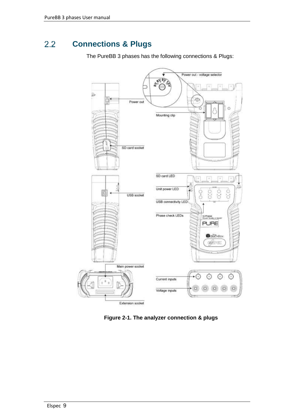#### <span id="page-9-0"></span> $2.2$ **Connections & Plugs**

The PureBB 3 phases has the following connections & Plugs:



**Figure 2-1. The analyzer connection & plugs**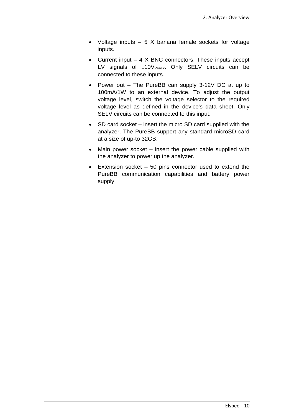- Voltage inputs  $-5$  X banana female sockets for voltage inputs.
- Current input  $-4$  X BNC connectors. These inputs accept LV signals of  $\pm 10V_{\text{Peak}}$ . Only SELV circuits can be connected to these inputs.
- Power out The PureBB can supply 3-12V DC at up to 100mA/1W to an external device. To adjust the output voltage level, switch the voltage selector to the required voltage level as defined in the device's data sheet. Only SELV circuits can be connected to this input.
- SD card socket insert the micro SD card supplied with the analyzer. The PureBB support any standard microSD card at a size of up-to 32GB.
- Main power socket insert the power cable supplied with the analyzer to power up the analyzer.
- Extension socket 50 pins connector used to extend the PureBB communication capabilities and battery power supply.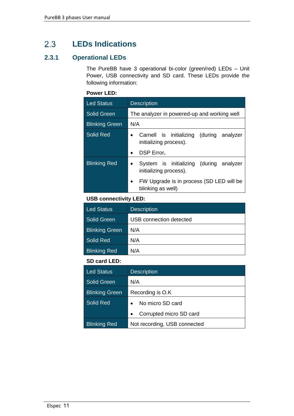#### <span id="page-11-0"></span> $2.3$ **LEDs Indications**

## <span id="page-11-1"></span>**2.3.1 Operational LEDs**

The PureBB have 3 operational bi-color (green/red) LEDs – Unit Power, USB connectivity and SD card. These LEDs provide the following information:

## **Power LED:**

| <b>Led Status</b>     | <b>Description</b>                                                              |  |  |  |  |
|-----------------------|---------------------------------------------------------------------------------|--|--|--|--|
| <b>Solid Green</b>    | The analyzer in powered-up and working well                                     |  |  |  |  |
| <b>Blinking Green</b> | N/A                                                                             |  |  |  |  |
| Solid Red             | Carnell is initializing (during analyzer<br>$\bullet$<br>initializing process). |  |  |  |  |
|                       | <b>DSP</b> Error.<br>$\bullet$                                                  |  |  |  |  |
| <b>Blinking Red</b>   | System is initializing (during analyzer<br>$\bullet$<br>initializing process).  |  |  |  |  |
|                       | FW Upgrade is in process (SD LED will be<br>$\bullet$<br>blinking as well)      |  |  |  |  |

## **USB connectivity LED:**

| Led Status            | <b>Description</b>      |  |
|-----------------------|-------------------------|--|
| Solid Green           | USB connection detected |  |
| <b>Blinking Green</b> | N/A                     |  |
| Solid Red             | N/A                     |  |
| <b>Blinking Red</b>   | N/A                     |  |

## **SD card LED:**

| <b>Led Status</b>     | <b>Description</b>                   |  |  |
|-----------------------|--------------------------------------|--|--|
| <b>Solid Green</b>    | N/A                                  |  |  |
| <b>Blinking Green</b> | Recording is O.K                     |  |  |
| Solid Red             | No micro SD card<br>$\bullet$        |  |  |
|                       | Corrupted micro SD card<br>$\bullet$ |  |  |
| <b>Blinking Red</b>   | Not recording, USB connected         |  |  |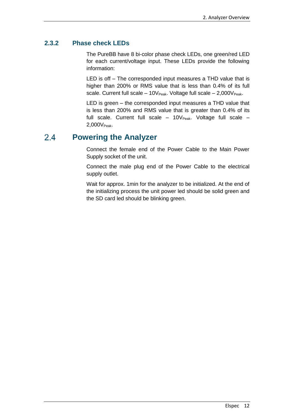## <span id="page-12-0"></span>**2.3.2 Phase check LEDs**

The PureBB have 8 bi-color phase check LEDs, one green/red LED for each current/voltage input. These LEDs provide the following information:

LED is off – The corresponded input measures a THD value that is higher than 200% or RMS value that is less than 0.4% of its full scale. Current full scale  $-10V_{Peak}$ . Voltage full scale  $-2,000V_{Peak}$ .

LED is green – the corresponded input measures a THD value that is less than 200% and RMS value that is greater than 0.4% of its full scale. Current full scale  $-10V_{Peak}$ . Voltage full scale  $-$ 2,000V<sub>Peak</sub>.

#### <span id="page-12-1"></span>**Powering the Analyzer**  $2.4$

Connect the female end of the Power Cable to the Main Power Supply socket of the unit.

Connect the male plug end of the Power Cable to the electrical supply outlet.

Wait for approx. 1min for the analyzer to be initialized. At the end of the initializing process the unit power led should be solid green and the SD card led should be blinking green.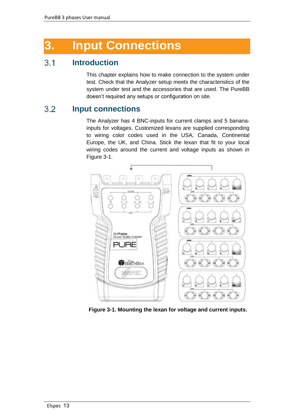# <span id="page-13-0"></span>**3. Input Connections**

#### <span id="page-13-1"></span> $3.1$ **Introduction**

This chapter explains how to make connection to the system under test. Check that the Analyzer setup meets the characteristics of the system under test and the accessories that are used. The PureBB doesn't required any setups or configuration on site.

#### <span id="page-13-2"></span> $3.2$ **Input connections**

The Analyzer has 4 BNC-inputs for current clamps and 5 bananainputs for voltages. Customized lexans are supplied corresponding to wiring color codes used in the USA, Canada, Continental Europe, the UK, and China. Stick the lexan that fit to your local wiring codes around the current and voltage inputs as shown in Figure 3-1.



**Figure 3-1. Mounting the lexan for voltage and current inputs.**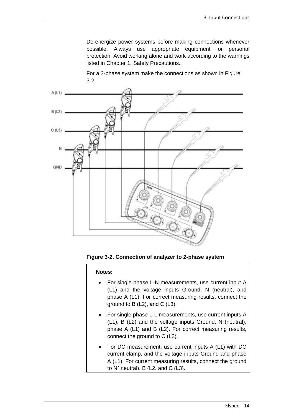De-energize power systems before making connections whenever possible. Always use appropriate equipment for personal protection. Avoid working alone and work according to the warnings listed in Chapter 1, Safety Precautions.

For a 3-phase system make the connections as shown in Figure 3-2.



**Figure 3-2. Connection of analyzer to 2-phase system**

**Notes:**

- For single phase L-N measurements, use current input A (L1) and the voltage inputs Ground, N (neutral), and phase A (L1). For correct measuring results, connect the ground to B (L2), and C (L3).
- For single phase L-L measurements, use current inputs A (L1), B (L2) and the voltage inputs Ground, N (neutral), phase A (L1) and B (L2). For correct measuring results, connect the ground to C (L3).
- For DC measurement, use current inputs A (L1) with DC current clamp, and the voltage inputs Ground and phase A (L1). For current measuring results, connect the ground to N( neutral). B (L2, and C (L3).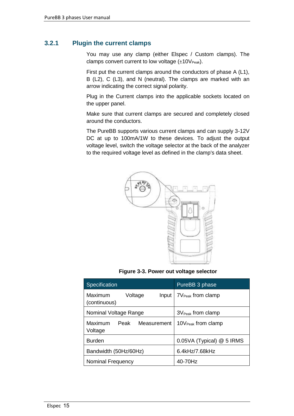## <span id="page-15-0"></span>**3.2.1 Plugin the current clamps**

You may use any clamp (either Elspec / Custom clamps). The clamps convert current to low voltage  $(\pm 10V_{Peak})$ .

First put the current clamps around the conductors of phase A (L1), B (L2), C (L3), and N (neutral). The clamps are marked with an arrow indicating the correct signal polarity.

Plug in the Current clamps into the applicable sockets located on the upper panel.

Make sure that current clamps are secured and completely closed around the conductors.

The PureBB supports various current clamps and can supply 3-12V DC at up to 100mA/1W to these devices. To adjust the output voltage level, switch the voltage selector at the back of the analyzer to the required voltage level as defined in the clamp's data sheet.



**Figure 3-3. Power out voltage selector**

| Specification                               | PureBB 3 phase                  |
|---------------------------------------------|---------------------------------|
| Maximum<br>Voltage<br>Input<br>(continuous) | $7V_{\text{Peak}}$ from clamp   |
| Nominal Voltage Range                       | $3V_{Peak}$ from clamp          |
| Maximum<br>Peak<br>Measurement<br>Voltage   | 10 $V_{\text{Peak}}$ from clamp |
| <b>Burden</b>                               | 0.05VA (Typical) @ 5 IRMS       |
| Bandwidth (50Hz/60Hz)                       | 6.4kHz/7.68kHz                  |
| Nominal Frequency                           | 40-70Hz                         |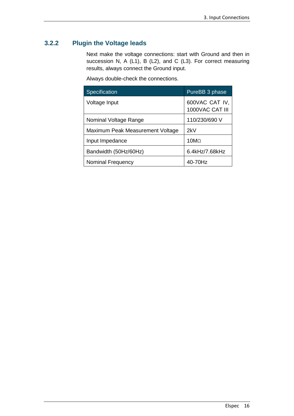## <span id="page-16-0"></span>**3.2.2 Plugin the Voltage leads**

Next make the voltage connections: start with Ground and then in succession N, A (L1), B (L2), and C (L3). For correct measuring results, always connect the Ground input.

Always double-check the connections.

| Specification                    | PureBB <sub>3</sub> phase         |
|----------------------------------|-----------------------------------|
| Voltage Input                    | 600VAC CAT IV,<br>1000VAC CAT III |
| Nominal Voltage Range            | 110/230/690 V                     |
| Maximum Peak Measurement Voltage | 2kV                               |
| Input Impedance                  | 10M <sub>O</sub>                  |
| Bandwidth (50Hz/60Hz)            | 6.4kHz/7.68kHz                    |
| Nominal Frequency                | 40-70Hz                           |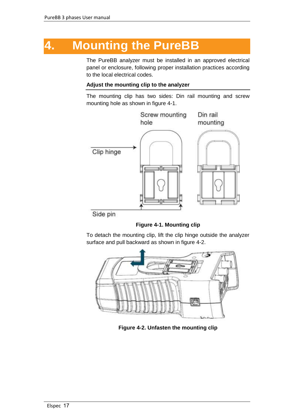## <span id="page-17-0"></span>**4. Mounting the PureBB**

The PureBB analyzer must be installed in an approved electrical panel or enclosure, following proper installation practices according to the local electrical codes.

### **Adjust the mounting clip to the analyzer**

The mounting clip has two sides: Din rail mounting and screw mounting hole as shown in figure 4-1.



Side pin



To detach the mounting clip, lift the clip hinge outside the analyzer surface and pull backward as shown in figure 4-2.



**Figure 4-2. Unfasten the mounting clip**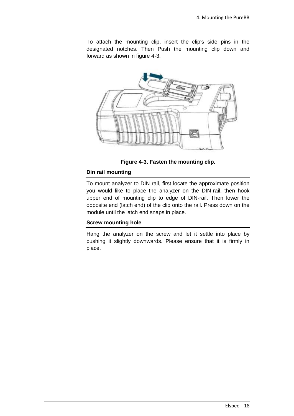To attach the mounting clip, insert the clip's side pins in the designated notches. Then Push the mounting clip down and forward as shown in figure 4-3.



**Figure 4-3. Fasten the mounting clip.**

### **Din rail mounting**

To mount analyzer to DIN rail, first locate the approximate position you would like to place the analyzer on the DIN-rail, then hook upper end of mounting clip to edge of DIN-rail. Then lower the opposite end (latch end) of the clip onto the rail. Press down on the module until the latch end snaps in place.

## **Screw mounting hole**

Hang the analyzer on the screw and let it settle into place by pushing it slightly downwards. Please ensure that it is firmly in place.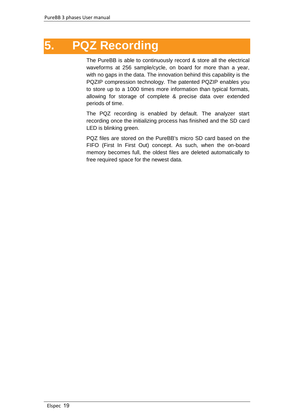# <span id="page-19-0"></span>**5. PQZ Recording**

The PureBB is able to continuously record & store all the electrical waveforms at 256 sample/cycle, on board for more than a year, with no gaps in the data. The innovation behind this capability is the PQZIP compression technology. The patented PQZIP enables you to store up to a 1000 times more information than typical formats, allowing for storage of complete & precise data over extended periods of time.

The PQZ recording is enabled by default. The analyzer start recording once the initializing process has finished and the SD card LED is blinking green.

PQZ files are stored on the PureBB's micro SD card based on the FIFO (First In First Out) concept. As such, when the on-board memory becomes full, the oldest files are deleted automatically to free required space for the newest data.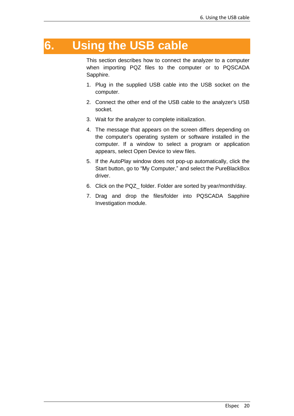## <span id="page-20-0"></span>**6. Using the USB cable**

This section describes how to connect the analyzer to a computer when importing PQZ files to the computer or to PQSCADA Sapphire.

- 1. Plug in the supplied USB cable into the USB socket on the computer.
- 2. Connect the other end of the USB cable to the analyzer's USB socket.
- 3. Wait for the analyzer to complete initialization.
- 4. The message that appears on the screen differs depending on the computer's operating system or software installed in the computer. If a window to select a program or application appears, select Open Device to view files.
- 5. If the AutoPlay window does not pop-up automatically, click the Start button, go to "My Computer," and select the PureBlackBox driver.
- 6. Click on the PQZ\_ folder. Folder are sorted by year/month/day.
- 7. Drag and drop the files/folder into PQSCADA Sapphire Investigation module.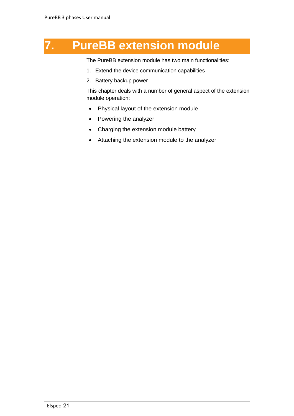# <span id="page-21-0"></span>**7. PureBB extension module**

The PureBB extension module has two main functionalities:

- 1. Extend the device communication capabilities
- 2. Battery backup power

This chapter deals with a number of general aspect of the extension module operation:

- Physical layout of the extension module
- Powering the analyzer
- Charging the extension module battery
- Attaching the extension module to the analyzer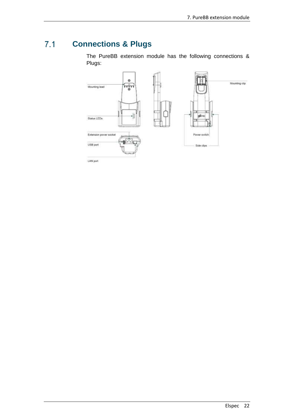#### <span id="page-22-0"></span> $7.1$ **Connections & Plugs**

The PureBB extension module has the following connections & Plugs:



LAN port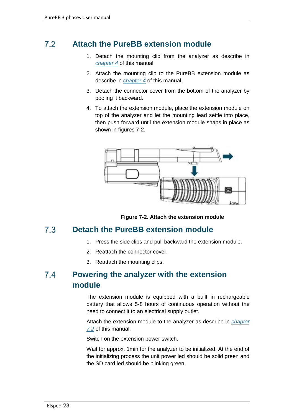#### <span id="page-23-0"></span> $72$ **Attach the PureBB extension module**

- 1. Detach the mounting clip from the analyzer as describe in *[chapter 4](#page-17-0)* of this manual
- 2. Attach the mounting clip to the PureBB extension module as describe in *[chapter 4](#page-17-0)* of this manual.
- 3. Detach the connector cover from the bottom of the analyzer by pooling it backward.
- 4. To attach the extension module, place the extension module on top of the analyzer and let the mounting lead settle into place, then push forward until the extension module snaps in place as shown in figures 7-2.



**Figure 7-2. Attach the extension module**

#### <span id="page-23-1"></span> $7.3$ **Detach the PureBB extension module**

- 1. Press the side clips and pull backward the extension module.
- 2. Reattach the connector cover.
- 3. Reattach the mounting clips.

### <span id="page-23-2"></span> $7.4$ **Powering the analyzer with the extension module**

The extension module is equipped with a built in rechargeable battery that allows 5-8 hours of continuous operation without the need to connect it to an electrical supply outlet.

Attach the extension module to the analyzer as describe in *[chapter](#page-23-0)  [7.2](#page-23-0)* of this manual.

Switch on the extension power switch.

Wait for approx. 1min for the analyzer to be initialized. At the end of the initializing process the unit power led should be solid green and the SD card led should be blinking green.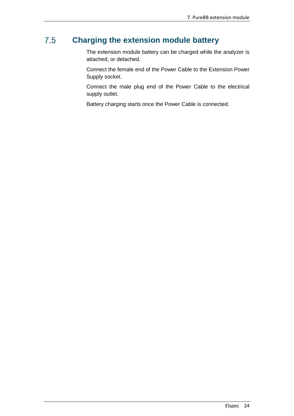#### <span id="page-24-0"></span> $7.5$ **Charging the extension module battery**

The extension module battery can be charged while the analyzer is attached, or detached.

Connect the female end of the Power Cable to the Extension Power Supply socket.

Connect the male plug end of the Power Cable to the electrical supply outlet.

Battery charging starts once the Power Cable is connected.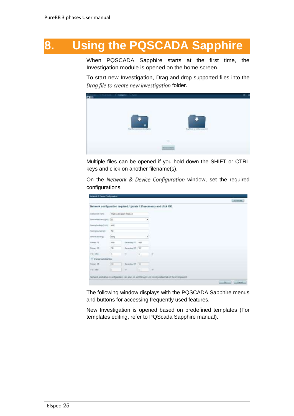# <span id="page-25-0"></span>**8. Using the PQSCADA Sapphire**

When PQSCADA Sapphire starts at the first time, the Investigation module is opened on the home screen.

To start new Investigation, Drag and drop supported files into the *Drag file to create new investigation* folder.



Multiple files can be opened if you hold down the SHIFT or CTRL keys and click on another filename(s).

On the *Network & Device Configuration* window, set the required configurations.

|                               |            |                         |             | Advisor (                                                            |
|-------------------------------|------------|-------------------------|-------------|----------------------------------------------------------------------|
|                               |            |                         |             | Network configuration required. Update it if necessary and click OK. |
| Component name                |            | PCZ 11/07/2027 09/09/10 |             |                                                                      |
| Harrison frequency (Fig. 150) |            |                         | ۰           |                                                                      |
| Norminal sublope (VALE : 400) |            |                         |             |                                                                      |
| Netto'se curvent (A)          | $-50 -$    |                         |             |                                                                      |
| Fiellands Edpolingy)          | WYE        |                         | ٠           |                                                                      |
| Premier PT.                   | 400<br>ಂಬ  | Secondary ITT.          | 400         |                                                                      |
| Percey ST                     | 50<br>Rint | Sucarday CT 150         |             |                                                                      |
| VM Links                      |            | m                       | 12          | $\mathbb{R}$<br><b>ATC</b>                                           |
| El Chenga houted settings     |            |                         |             |                                                                      |
| Prémier CT.                   | (m         | Detentoy CT 11          |             |                                                                      |
| Vistador.                     | 13.        | 厥                       | <b>Bill</b> | $-40$                                                                |

The following window displays with the PQSCADA Sapphire menus and buttons for accessing frequently used features.

New Investigation is opened based on predefined templates (For templates editing, refer to PQScada Sapphire manual).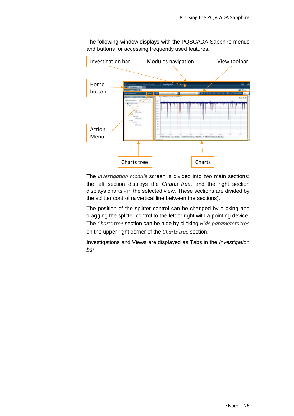

The following window displays with the PQSCADA Sapphire menus and buttons for accessing frequently used features.

The *Investigation module* screen is divided into two main sections: the left section displays the *Charts tree*, and the right section displays charts - in the selected view. These sections are divided by the splitter control (a vertical line between the sections).

The position of the splitter control can be changed by clicking and dragging the splitter control to the left or right with a pointing device. The *Charts tree* section can be hide by clicking *Hide parameters tree*  on the upper right corner of the *Charts tree* section.

Investigations and Views are displayed as Tabs in the *Investigation bar*.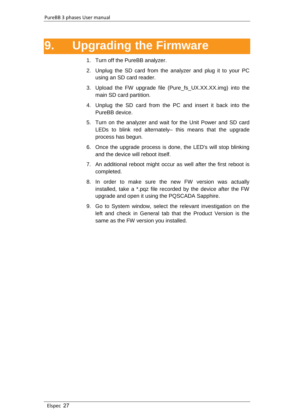## <span id="page-27-0"></span>**9. Upgrading the Firmware**

- 1. Turn off the PureBB analyzer.
- 2. Unplug the SD card from the analyzer and plug it to your PC using an SD card reader.
- 3. Upload the FW upgrade file (Pure\_fs\_UX.XX.XX.img) into the main SD card partition.
- 4. Unplug the SD card from the PC and insert it back into the PureBB device.
- 5. Turn on the analyzer and wait for the Unit Power and SD card LEDs to blink red alternately– this means that the upgrade process has begun.
- 6. Once the upgrade process is done, the LED's will stop blinking and the device will reboot itself.
- 7. An additional reboot might occur as well after the first reboot is completed.
- 8. In order to make sure the new FW version was actually installed, take a \*.pqz file recorded by the device after the FW upgrade and open it using the PQSCADA Sapphire.
- 9. Go to System window, select the relevant investigation on the left and check in General tab that the Product Version is the same as the FW version you installed.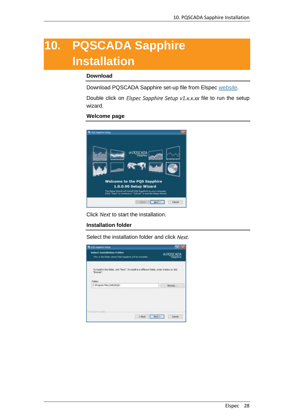# <span id="page-28-0"></span>**10. PQSCADA Sapphire Installation**

### **Download**

Download PQSCADA Sapphire set-up file from Elspec *[website](http://elspec-ltd.com/support/sw_downloads/)*.

Double click on *Elspec Sapphire Setup v1.x.x.xx* file to run the setup wizard.

### **Welcome page**



Click *Next* to start the installation.

### **Installation folder**

Select the installation folder and click *Next*.

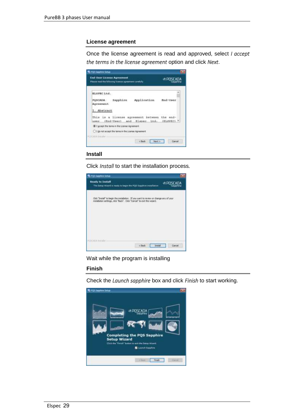### **License agreement**

Once the license agreement is read and approved, select *I accept the terms in the license agreement* option and click *Next*.



### **Install**

Click *Install* to start the installation process*.*



Wait while the program is installing

### **Finish**

Check the *Launch sapphire* box and click *Finish* to start working.

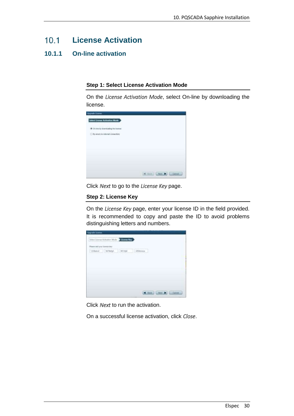#### <span id="page-30-0"></span> $10.1$ **License Activation**

## <span id="page-30-1"></span>**10.1.1 On-line activation**

### **Step 1: Select License Activation Mode**

On the *License Activation Mode*, select On-line by downloading the license.

| <b>Ungrade Livense</b><br>Select License Activation Mode                       |                 |
|--------------------------------------------------------------------------------|-----------------|
| <u>e e communicación de la terra e e</u><br>* On the by downloading the former |                 |
| C: fly areal are releved connections                                           |                 |
|                                                                                |                 |
|                                                                                |                 |
|                                                                                |                 |
|                                                                                | at the Lines by |

Click *Next* to go to the *License Key* page.

### **Step 2: License Key**

On the *License Key* page, enter your license ID in the field provided. It is recommended to copy and paste the ID to avoid problems distinguishing letters and numbers.



Click *Next* to run the activation.

On a successful license activation, click *Close*.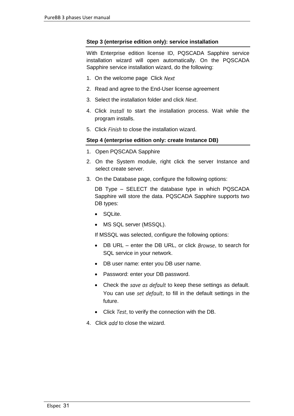## **Step 3 (enterprise edition only): service installation**

With Enterprise edition license ID, PQSCADA Sapphire service installation wizard will open automatically. On the PQSCADA Sapphire service installation wizard, do the following:

- 1. On the welcome page Click *Next*
- 2. Read and agree to the End-User license agreement
- 3. Select the installation folder and click *Next*.
- 4. Click *Install* to start the installation process. Wait while the program installs.
- 5. Click *Finish* to close the installation wizard.

## **Step 4 (enterprise edition only: create Instance DB)**

- 1. Open PQSCADA Sapphire
- 2. On the System module, right click the server Instance and select create server.
- 3. On the Database page, configure the following options:

DB Type – SELECT the database type in which PQSCADA Sapphire will store the data. PQSCADA Sapphire supports two DB types:

- SQLite.
- MS SQL server (MSSQL).

If MSSQL was selected, configure the following options:

- DB URL enter the DB URL, or click *Browse*, to search for SQL service in your network.
- DB user name: enter you DB user name.
- Password: enter your DB password.
- Check the *save as default* to keep these settings as default. You can use *set default*, to fill in the default settings in the future.
- Click *Test*, to verify the connection with the DB.
- 4. Click *add* to close the wizard.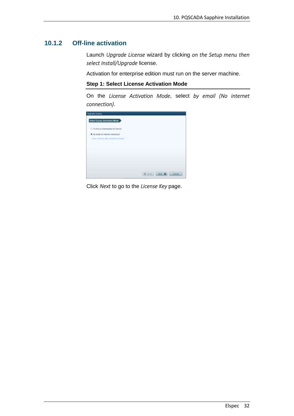## <span id="page-32-0"></span>**10.1.2 Off-line activation**

Launch *Upgrade License* wizard by clicking *on the Setup menu then select Install/Upgrade* license.

Activation for enterprise edition must run on the server machine.

```
Step 1: Select License Activation Mode
```
On the *License Activation Mode*, select *by email (No internet connection)*.



Click *Next* to go to the *License Key* page.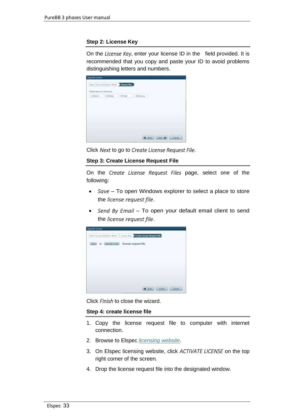## **Step 2: License Key**

On the *License Key*, enter your license ID in the field provided. It is recommended that you copy and paste your ID to avoid problems distinguishing letters and numbers.

| Please add your leases key-<br>$[1234abot] \qquad [367b4ab] \qquad$ | <b>SOLDAY</b> | of the Acht is often<br>3456 expans |  |
|---------------------------------------------------------------------|---------------|-------------------------------------|--|
|                                                                     |               |                                     |  |
|                                                                     |               |                                     |  |
|                                                                     |               |                                     |  |
|                                                                     |               |                                     |  |
|                                                                     |               |                                     |  |

Click *Next* to go to *Create License Request File*.

### **Step 3: Create License Request File**

On the *Create License Request Files* page, select one of the following:

- *Save* To open Windows explorer to select a place to store the *license request file*.
- *Send By Email* To open your default email client to send the *license request file*.



Click *Finish* to close the wizard.

### **Step 4: create license file**

- 1. Copy the license request file to computer with internet connection.
- 2. Browse to Elspec *[licensing website](http://elspec-ltd.com/sw-license-web-site/)*.
- 3. On Elspec licensing website, click *ACTIVATE LICENSE* on the top right corner of the screen.
- 4. Drop the license request file into the designated window.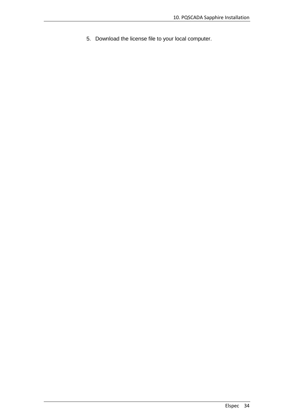5. Download the license file to your local computer.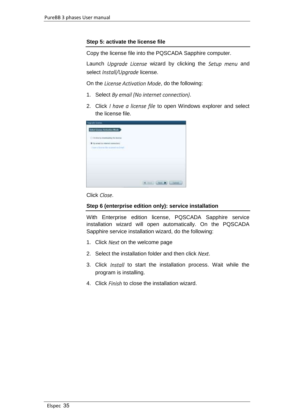## **Step 5: activate the license file**

Copy the license file into the PQSCADA Sapphire computer.

Launch *Upgrade License* wizard by clicking the *Setup menu* and select *Install/Upgrade* license.

On the *License Activation Mode*, do the following:

- 1. Select *By email (No internet connection)*.
- 2. Click *I have a license file* to open Windows explorer and select the license file.

| <b>Opporte Change</b>                                                                 |                          |
|---------------------------------------------------------------------------------------|--------------------------|
| <b>Select License Activation Mode</b><br>-------------                                |                          |
| A 44 SECOND AND THE ANNUAL PROPERTY<br>C Delive by disensating the learner            |                          |
| Continuous three continuous of C                                                      |                          |
| There is known for strategies as formal.<br>a second particular in the control of the |                          |
|                                                                                       |                          |
|                                                                                       |                          |
|                                                                                       |                          |
|                                                                                       |                          |
|                                                                                       |                          |
|                                                                                       |                          |
|                                                                                       | 4.3881<br><b>Literat</b> |

Click *Close*.

## **Step 6 (enterprise edition only): service installation**

With Enterprise edition license, PQSCADA Sapphire service installation wizard will open automatically. On the PQSCADA Sapphire service installation wizard, do the following:

- 1. Click *Next* on the welcome page
- 2. Select the installation folder and then click *Next*.
- 3. Click *Install* to start the installation process. Wait while the program is installing.
- 4. Click *Finish* to close the installation wizard.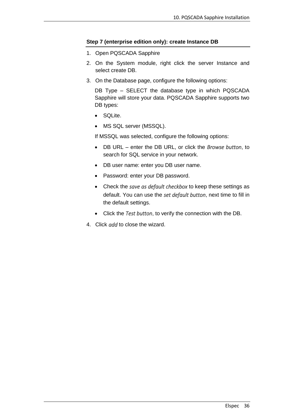## **Step 7 (enterprise edition only): create Instance DB**

- 1. Open PQSCADA Sapphire
- 2. On the System module, right click the server Instance and select create DB.
- 3. On the Database page, configure the following options:

DB Type – SELECT the database type in which PQSCADA Sapphire will store your data. PQSCADA Sapphire supports two DB types:

- SQLite.
- MS SQL server (MSSQL).

If MSSQL was selected, configure the following options:

- DB URL enter the DB URL, or click the *Browse button*, to search for SQL service in your network.
- DB user name: enter you DB user name.
- Password: enter your DB password.
- Check the *save as default checkbox* to keep these settings as default. You can use the *set default button*, next time to fill in the default settings.
- Click the *Test button*, to verify the connection with the DB.
- 4. Click *add* to close the wizard.